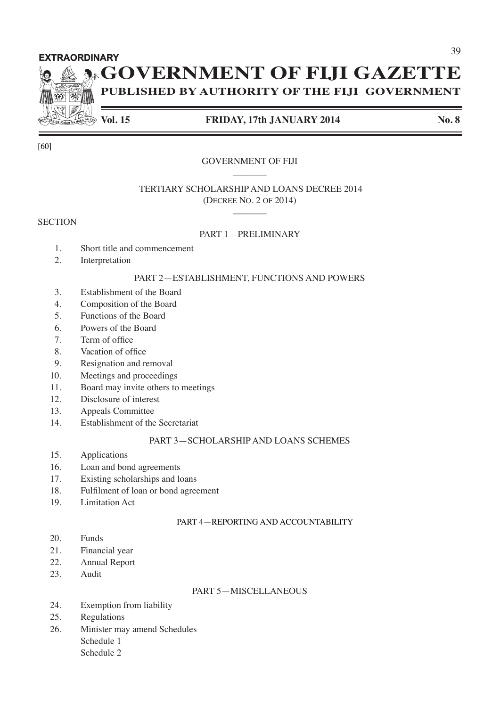#### **EXTRAORDINARY**

# **AGOVERNMENT OF FIJI GAZETTE**

**PUBLISHED BY AUTHORITY OF THE FIJI GOVERNMENT**

 $\ket{a}$ 

### **Vol. 15 FRIDAY, 17th JANUARY 2014 No. 8**

#### GOVERNMENT OF FIJI  $\overline{\phantom{a}}$

### TERTIARY SCHOLARSHIP AND LOANS DECREE 2014 (DECREE NO. 2 OF 2014)

#### **SECTION**

[60]

#### PART 1—PRELIMINARY

 $\overline{\phantom{a}}$ 

- 1. Short title and commencement
- 2. Interpretation

#### PART 2—ESTABLISHMENT, FUNCTIONS AND POWERS

- 3. Establishment of the Board
- 4. Composition of the Board
- 5. Functions of the Board
- 6. Powers of the Board
- 7. Term of office
- 8. Vacation of office
- 9. Resignation and removal
- 10. Meetings and proceedings
- 11. Board may invite others to meetings
- 12. Disclosure of interest
- 13. Appeals Committee
- 14. Establishment of the Secretariat

#### PART 3—SCHOLARSHIP AND LOANS SCHEMES

- 15. Applications
- 16. Loan and bond agreements
- 17. Existing scholarships and loans
- 18. Fulfilment of loan or bond agreement
- 19. Limitation Act

#### PART 4—REPORTING AND ACCOUNTABILITY

- 20. Funds
- 21. Financial year
- 22. Annual Report
- 23. Audit

#### PART 5—MISCELLANEOUS

- 24. Exemption from liability
- 25. Regulations
- 26. Minister may amend Schedules Schedule 1
	- Schedule 2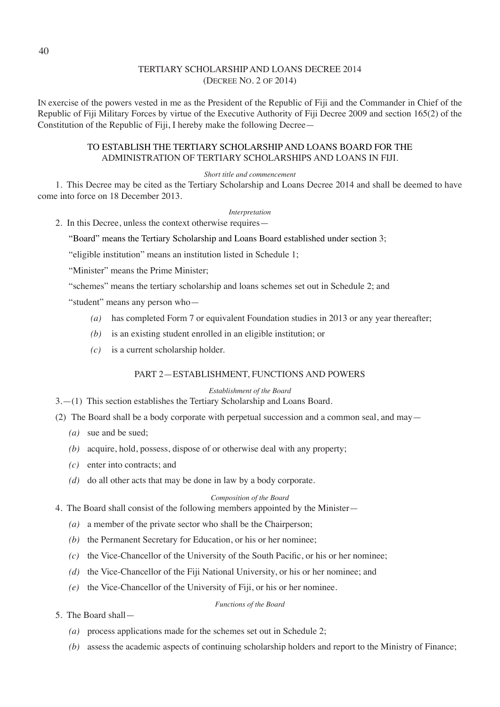#### TERTIARY SCHOLARSHIP AND LOANS DECREE 2014 (DECREE NO. 2 OF 2014)

IN exercise of the powers vested in me as the President of the Republic of Fiji and the Commander in Chief of the Republic of Fiji Military Forces by virtue of the Executive Authority of Fiji Decree 2009 and section 165(2) of the Constitution of the Republic of Fiji, I hereby make the following Decree—

#### TO ESTABLISH THE TERTIARY SCHOLARSHIP AND LOANS BOARD FOR THE ADMINISTRATION OF TERTIARY SCHOLARSHIPS AND LOANS IN FIJI.

#### *Short title and commencement*

1. This Decree may be cited as the Tertiary Scholarship and Loans Decree 2014 and shall be deemed to have come into force on 18 December 2013.

#### *Interpretation*

2. In this Decree, unless the context otherwise requires—

"Board" means the Tertiary Scholarship and Loans Board established under section 3;

"eligible institution" means an institution listed in Schedule 1;

"Minister" means the Prime Minister;

"schemes" means the tertiary scholarship and loans schemes set out in Schedule 2; and

"student" means any person who—

- *(a)* has completed Form 7 or equivalent Foundation studies in 2013 or any year thereafter;
- *(b)* is an existing student enrolled in an eligible institution; or
- *(c)* is a current scholarship holder.

#### PART 2—ESTABLISHMENT, FUNCTIONS AND POWERS

*Establishment of the Board*

3.—(1) This section establishes the Tertiary Scholarship and Loans Board.

- (2) The Board shall be a body corporate with perpetual succession and a common seal, and may—
	- *(a)* sue and be sued;
	- *(b)* acquire, hold, possess, dispose of or otherwise deal with any property;
	- *(c)* enter into contracts; and
	- *(d)* do all other acts that may be done in law by a body corporate.

#### *Composition of the Board*

- 4. The Board shall consist of the following members appointed by the Minister—
	- *(a)* a member of the private sector who shall be the Chairperson;
	- *(b)* the Permanent Secretary for Education, or his or her nominee;
	- *(c)* the Vice-Chancellor of the University of the South Pacific, or his or her nominee;
	- *(d)* the Vice-Chancellor of the Fiji National University, or his or her nominee; and
	- *(e)* the Vice-Chancellor of the University of Fiji, or his or her nominee.

#### *Functions of the Board*

- 5. The Board shall—
	- *(a)* process applications made for the schemes set out in Schedule 2;
	- *(b)* assess the academic aspects of continuing scholarship holders and report to the Ministry of Finance;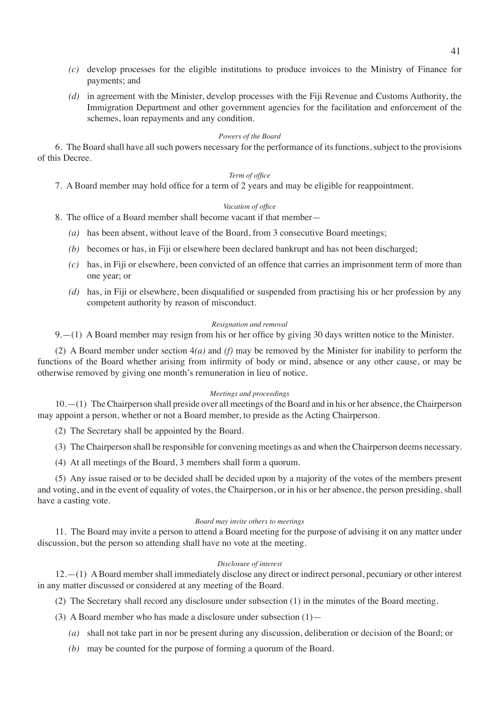- *(c)* develop processes for the eligible institutions to produce invoices to the Ministry of Finance for payments; and
- *(d)* in agreement with the Minister, develop processes with the Fiji Revenue and Customs Authority, the Immigration Department and other government agencies for the facilitation and enforcement of the schemes, loan repayments and any condition.

#### *Powers of the Board*

6. The Board shall have all such powers necessary for the performance of its functions, subject to the provisions of this Decree.

#### *Term of office*

 7. A Board member may hold office for a term of 2 years and may be eligible for reappointment.

#### *Vacation of office*

 8. The office of a Board member shall become vacant if that member—

- *(a)* has been absent, without leave of the Board, from 3 consecutive Board meetings;
- *(b)* becomes or has, in Fiji or elsewhere been declared bankrupt and has not been discharged;
- *(c)* has, in Fiji or elsewhere, been convicted of an offence that carries an imprisonment term of more than one year; or
- *(d)* has, in Fiji or elsewhere, been disqualified or suspended from practising his or her profession by any competent authority by reason of misconduct.

#### *Resignation and removal*

9.—(1) A Board member may resign from his or her office by giving 30 days written notice to the Minister.

(2) A Board member under section 4*(a)* and *(f)* may be removed by the Minister for inability to perform the functions of the Board whether arising from infirmity of body or mind, absence or any other cause, or may be otherwise removed by giving one month's remuneration in lieu of notice.

#### *Meetings and proceedings*

10.—(1) The Chairperson shall preside over all meetings of the Board and in his or her absence, the Chairperson may appoint a person, whether or not a Board member, to preside as the Acting Chairperson.

(2) The Secretary shall be appointed by the Board.

(3) The Chairperson shall be responsible for convening meetings as and when the Chairperson deems necessary.

(4) At all meetings of the Board, 3 members shall form a quorum.

(5) Any issue raised or to be decided shall be decided upon by a majority of the votes of the members present and voting, and in the event of equality of votes, the Chairperson, or in his or her absence, the person presiding, shall have a casting vote.

#### *Board may invite others to meetings*

11. The Board may invite a person to attend a Board meeting for the purpose of advising it on any matter under discussion, but the person so attending shall have no vote at the meeting.

#### *Disclosure of interest*

12.—(1) A Board member shall immediately disclose any direct or indirect personal, pecuniary or other interest in any matter discussed or considered at any meeting of the Board.

(2) The Secretary shall record any disclosure under subsection (1) in the minutes of the Board meeting.

(3) A Board member who has made a disclosure under subsection  $(1)$ —

- *(a)* shall not take part in nor be present during any discussion, deliberation or decision of the Board; or
- *(b)* may be counted for the purpose of forming a quorum of the Board.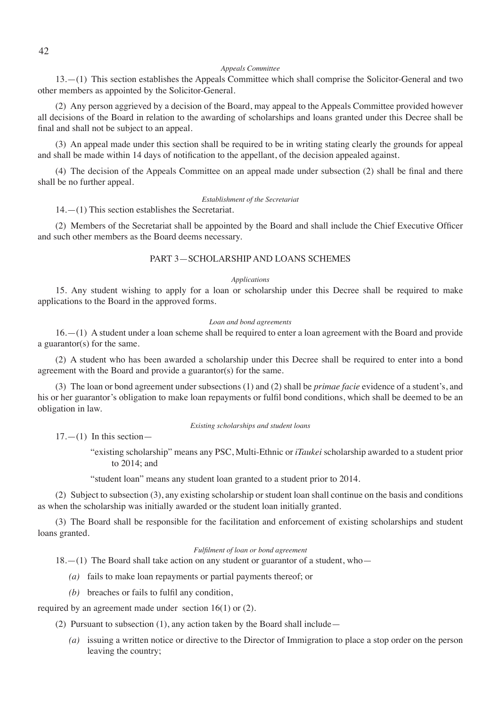#### *Appeals Committee*

13.—(1) This section establishes the Appeals Committee which shall comprise the Solicitor-General and two other members as appointed by the Solicitor-General.

(2) Any person aggrieved by a decision of the Board, may appeal to the Appeals Committee provided however all decisions of the Board in relation to the awarding of scholarships and loans granted under this Decree shall be final and shall not be subject to an appeal.

(3) An appeal made under this section shall be required to be in writing stating clearly the grounds for appeal and shall be made within 14 days of notification to the appellant, of the decision appealed against. 

 (4) The decision of the Appeals Committee on an appeal made under subsection (2) shall be final and there shall be no further appeal.

#### *Establishment of the Secretariat*

14.—(1) This section establishes the Secretariat.

 (2) Members of the Secretariat shall be appointed by the Board and shall include the Chief Executive Officer and such other members as the Board deems necessary.

#### PART 3—SCHOLARSHIP AND LOANS SCHEMES

#### *Applications*

15. Any student wishing to apply for a loan or scholarship under this Decree shall be required to make applications to the Board in the approved forms.

#### *Loan and bond agreements*

16.—(1) A student under a loan scheme shall be required to enter a loan agreement with the Board and provide a guarantor(s) for the same.

(2) A student who has been awarded a scholarship under this Decree shall be required to enter into a bond agreement with the Board and provide a guarantor(s) for the same.

(3) The loan or bond agreement under subsections (1) and (2) shall be *primae facie* evidence of a student's, and his or her guarantor's obligation to make loan repayments or fulfil bond conditions, which shall be deemed to be an obligation in law.

*Existing scholarships and student loans*

 $17. - (1)$  In this section-

"existing scholarship" means any PSC, Multi-Ethnic or *iTaukei* scholarship awarded to a student prior to 2014; and

"student loan" means any student loan granted to a student prior to 2014.

(2) Subject to subsection (3), any existing scholarship or student loan shall continue on the basis and conditions as when the scholarship was initially awarded or the student loan initially granted.

(3) The Board shall be responsible for the facilitation and enforcement of existing scholarships and student loans granted.

#### *Fulfilment of loan or bond agreement*

18.—(1) The Board shall take action on any student or guarantor of a student, who—

- *(a)* fails to make loan repayments or partial payments thereof; or
- *(b)* breaches or fails to fulfil any condition,

required by an agreement made under section 16(1) or (2).

(2) Pursuant to subsection (1), any action taken by the Board shall include—

*(a)* issuing a written notice or directive to the Director of Immigration to place a stop order on the person leaving the country;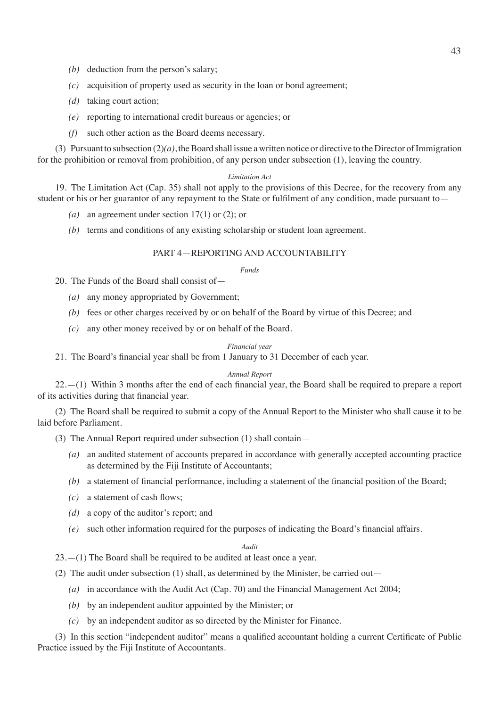- *(b)* deduction from the person's salary;
- *(c)* acquisition of property used as security in the loan or bond agreement;
- *(d)* taking court action;
- *(e)* reporting to international credit bureaus or agencies; or
- *(f)* such other action as the Board deems necessary.

(3) Pursuant to subsection  $(2)(a)$ , the Board shall issue a written notice or directive to the Director of Immigration for the prohibition or removal from prohibition, of any person under subsection (1), leaving the country.

#### *Limitation Act*

19. The Limitation Act (Cap. 35) shall not apply to the provisions of this Decree, for the recovery from any student or his or her guarantor of any repayment to the State or fulfilment of any condition, made pursuant to—

- *(a)* an agreement under section 17(1) or (2); or
- *(b)* terms and conditions of any existing scholarship or student loan agreement.

#### PART 4—REPORTING AND ACCOUNTABILITY

#### *Funds*

20. The Funds of the Board shall consist of—

- *(a)* any money appropriated by Government;
- *(b)* fees or other charges received by or on behalf of the Board by virtue of this Decree; and
- *(c)* any other money received by or on behalf of the Board.

#### *Financial year*

 21. The Board's financial year shall be from 1 January to 31 December of each year.

#### *Annual Report*

 22.—(1) Within 3 months after the end of each financial year, the Board shall be required to prepare a report of its activities during that financial year.

(2) The Board shall be required to submit a copy of the Annual Report to the Minister who shall cause it to be laid before Parliament.

- (3) The Annual Report required under subsection (1) shall contain—
	- *(a)* an audited statement of accounts prepared in accordance with generally accepted accounting practice as determined by the Fiji Institute of Accountants;
	- *(b)* a statement of financial performance, including a statement of the financial position of the Board;
	- *(c)* a statement of cash flows;
	- *(d)* a copy of the auditor's report; and
	- *(e)* such other information required for the purposes of indicating the Board's financial affairs.

#### *Audit*

23.—(1) The Board shall be required to be audited at least once a year.

(2) The audit under subsection (1) shall, as determined by the Minister, be carried out—

- *(a)* in accordance with the Audit Act (Cap. 70) and the Financial Management Act 2004;
- *(b)* by an independent auditor appointed by the Minister; or
- *(c)* by an independent auditor as so directed by the Minister for Finance.

 (3) In this section "independent auditor" means a qualified accountant holding a current Certificate of Public Practice issued by the Fiji Institute of Accountants.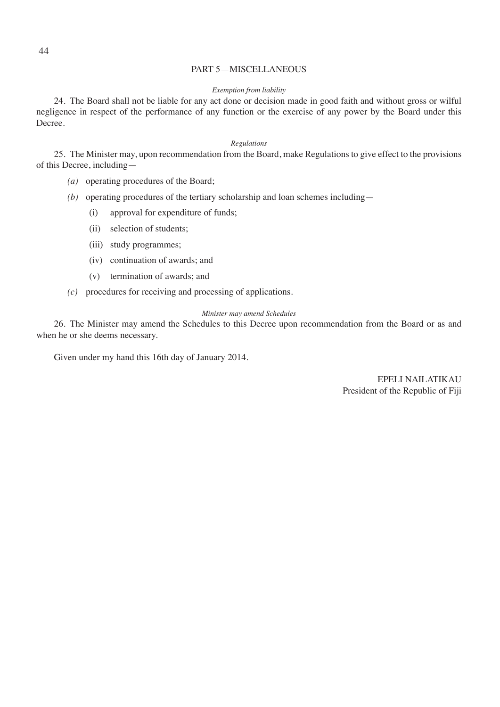#### PART 5—MISCELLANEOUS

#### *Exemption from liability*

24. The Board shall not be liable for any act done or decision made in good faith and without gross or wilful negligence in respect of the performance of any function or the exercise of any power by the Board under this Decree.

#### *Regulations*

25. The Minister may, upon recommendation from the Board, make Regulations to give effect to the provisions of this Decree, including—

- *(a)* operating procedures of the Board;
- *(b)* operating procedures of the tertiary scholarship and loan schemes including—
	- (i) approval for expenditure of funds;
	- (ii) selection of students;
	- (iii) study programmes;
	- (iv) continuation of awards; and
	- (v) termination of awards; and
- *(c)* procedures for receiving and processing of applications.

#### *Minister may amend Schedules*

26. The Minister may amend the Schedules to this Decree upon recommendation from the Board or as and when he or she deems necessary.

Given under my hand this 16th day of January 2014.

 EPELI NAILATIKAU President of the Republic of Fiji